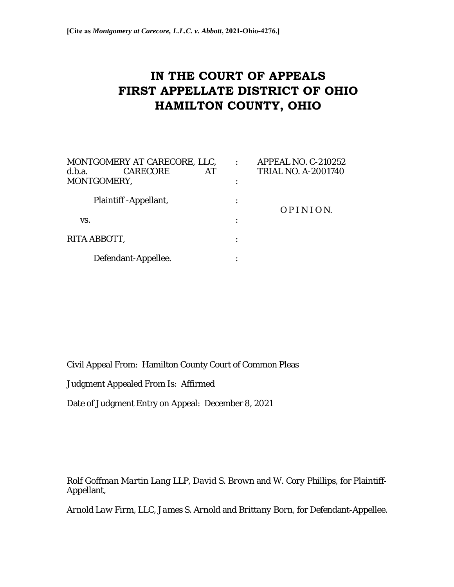# **IN THE COURT OF APPEALS FIRST APPELLATE DISTRICT OF OHIO HAMILTON COUNTY, OHIO**

| MONTGOMERY AT CARECORE, LLC,    |   | <b>APPEAL NO. C-210252</b> |
|---------------------------------|---|----------------------------|
| <b>CARECORE</b><br>d.b.a.<br>AT |   | <b>TRIAL NO. A-2001740</b> |
| MONTGOMERY,                     | ٠ |                            |
| Plaintiff -Appellant,           |   | OPINION.                   |
| VS.                             |   |                            |
| RITA ABBOTT,                    |   |                            |
| Defendant-Appellee.             |   |                            |

Civil Appeal From: Hamilton County Court of Common Pleas

Judgment Appealed From Is: Affirmed

Date of Judgment Entry on Appeal: December 8, 2021

*Rolf Goffman Martin Lang LLP*, *David S. Brown* and *W. Cory Phillips,* for Plaintiff-Appellant,

*Arnold Law Firm, LLC*, *James S. Arnold* and *Brittany Born*, for Defendant-Appellee.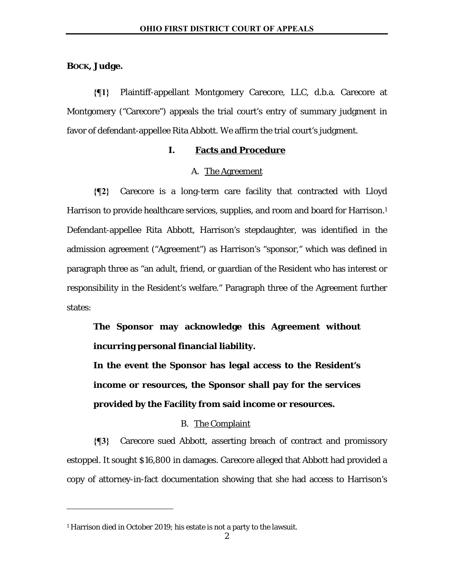# **BOCK, Judge.**

**{¶1}** Plaintiff-appellant Montgomery Carecore, LLC, d.b.a. Carecore at Montgomery ("Carecore") appeals the trial court's entry of summary judgment in favor of defendant-appellee Rita Abbott. We affirm the trial court's judgment.

#### **I. Facts and Procedure**

## A. The Agreement

**{¶2}** Carecore is a long-term care facility that contracted with Lloyd Harrison to provide healthcare services, supplies, and room and board for Harrison.<sup>1</sup> Defendant-appellee Rita Abbott, Harrison's stepdaughter, was identified in the admission agreement ("Agreement") as Harrison's "sponsor," which was defined in paragraph three as "an adult, friend, or guardian of the Resident who has interest or responsibility in the Resident's welfare." Paragraph three of the Agreement further states:

**The Sponsor may acknowledge this Agreement without incurring personal financial liability.**

**In the event the Sponsor has legal access to the Resident's income or resources, the Sponsor shall pay for the services provided by the Facility from said income or resources.** 

## B. The Complaint

**{¶3}** Carecore sued Abbott, asserting breach of contract and promissory estoppel. It sought \$16,800 in damages. Carecore alleged that Abbott had provided a copy of attorney-in-fact documentation showing that she had access to Harrison's

<sup>&</sup>lt;sup>1</sup> Harrison died in October 2019; his estate is not a party to the lawsuit.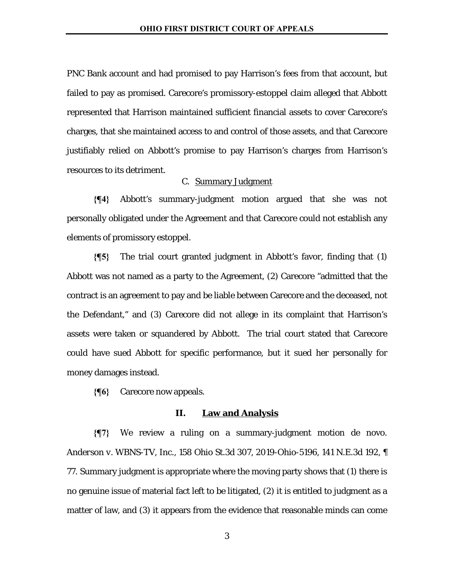PNC Bank account and had promised to pay Harrison's fees from that account, but failed to pay as promised. Carecore's promissory-estoppel claim alleged that Abbott represented that Harrison maintained sufficient financial assets to cover Carecore's charges, that she maintained access to and control of those assets, and that Carecore justifiably relied on Abbott's promise to pay Harrison's charges from Harrison's resources to its detriment.

# C. Summary Judgment

**{¶4}** Abbott's summary-judgment motion argued that she was not personally obligated under the Agreement and that Carecore could not establish any elements of promissory estoppel.

**{¶5}** The trial court granted judgment in Abbott's favor, finding that (1) Abbott was not named as a party to the Agreement, (2) Carecore "admitted that the contract is an agreement to pay and be liable between Carecore and the deceased, not the Defendant," and (3) Carecore did not allege in its complaint that Harrison's assets were taken or squandered by Abbott. The trial court stated that Carecore could have sued Abbott for specific performance, but it sued her personally for money damages instead.

**{¶6}** Carecore now appeals.

## **II. Law and Analysis**

**{¶7}** We review a ruling on a summary-judgment motion de novo. *Anderson v. WBNS-TV, Inc*., 158 Ohio St.3d 307, 2019-Ohio-5196, 141 N.E.3d 192, ¶ 77. Summary judgment is appropriate where the moving party shows that (1) there is no genuine issue of material fact left to be litigated, (2) it is entitled to judgment as a matter of law, and (3) it appears from the evidence that reasonable minds can come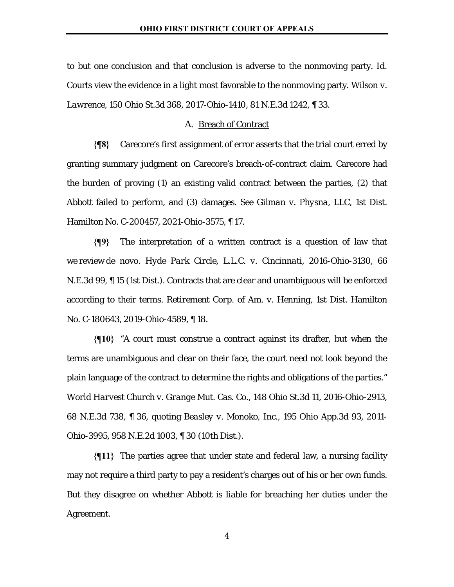to but one conclusion and that conclusion is adverse to the nonmoving party. *Id.*  Courts view the evidence in a light most favorable to the nonmoving party. *Wilson v. Lawrence*, 150 Ohio St.3d 368, 2017-Ohio-1410, 81 N.E.3d 1242, ¶ 33.

## A. Breach of Contract

**{¶8}** Carecore's first assignment of error asserts that the trial court erred by granting summary judgment on Carecore's breach-of-contract claim. Carecore had the burden of proving (1) an existing valid contract between the parties, (2) that Abbott failed to perform, and (3) damages. *See Gilman v. Physna, LLC*, 1st Dist. Hamilton No. C-200457, 2021-Ohio-3575, ¶ 17.

**{¶9}** The interpretation of a written contract is a question of law that we review de novo. *Hyde Park Circle, L.L.C. v. Cincinnati*, 2016-Ohio-3130, 66 N.E.3d 99, ¶ 15 (1st Dist.). Contracts that are clear and unambiguous will be enforced according to their terms. *Retirement Corp. of Am. v. Henning*, 1st Dist. Hamilton No. C-180643, 2019-Ohio-4589, ¶ 18.

**{¶10}** "A court must construe a contract against its drafter, but when the terms are unambiguous and clear on their face, the court need not look beyond the plain language of the contract to determine the rights and obligations of the parties." *World Harvest Church v. Grange Mut. Cas. Co*., 148 Ohio St.3d 11, 2016-Ohio-2913, 68 N.E.3d 738, ¶ 36, quoting *Beasley v. Monoko, Inc*., 195 Ohio App.3d 93, 2011- Ohio-3995, 958 N.E.2d 1003, ¶ 30 (10th Dist.).

**{¶11}** The parties agree that under state and federal law, a nursing facility may not require a third party to pay a resident's charges out of his or her own funds. But they disagree on whether Abbott is liable for breaching her duties under the Agreement.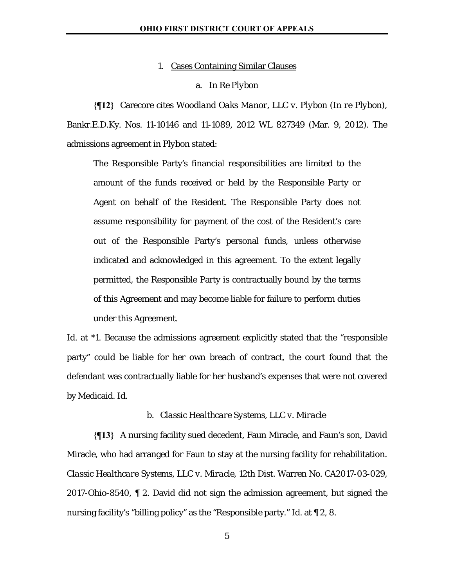#### 1. Cases Containing Similar Clauses

## a. *In Re Plybon*

**{¶12}** Carecore cites *Woodland Oaks Manor, LLC v. Plybon (In re Plybon),*  Bankr.E.D.Ky. Nos. 11-10146 and 11-1089, 2012 WL 827349 (Mar. 9, 2012). The admissions agreement in *Plybon* stated:

The Responsible Party's financial responsibilities are limited to the amount of the funds received or held by the Responsible Party or Agent on behalf of the Resident. The Responsible Party does not assume responsibility for payment of the cost of the Resident's care out of the Responsible Party's personal funds, unless otherwise indicated and acknowledged in this agreement. To the extent legally permitted, the Responsible Party is contractually bound by the terms of this Agreement and may become liable for failure to perform duties under this Agreement.

*Id.* at \*1. Because the admissions agreement explicitly stated that the "responsible party" could be liable for her own breach of contract, the court found that the defendant was contractually liable for her husband's expenses that were not covered by Medicaid. *Id.* 

## b. *Classic Healthcare Systems, LLC v. Miracle*

**{¶13}** A nursing facility sued decedent, Faun Miracle, and Faun's son, David Miracle, who had arranged for Faun to stay at the nursing facility for rehabilitation. *Classic Healthcare Systems, LLC v. Miracle*, 12th Dist. Warren No. CA2017-03-029, 2017-Ohio-8540, ¶ 2. David did not sign the admission agreement, but signed the nursing facility's "billing policy" as the "Responsible party." *Id*. at ¶ 2, 8.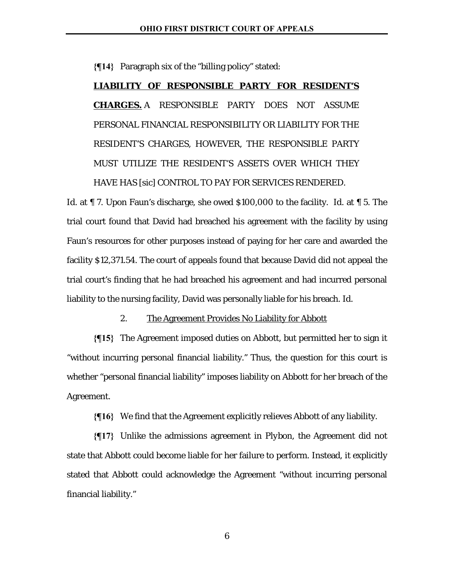**{¶14}** Paragraph six of the "billing policy" stated:

**LIABILITY OF RESPONSIBLE PARTY FOR RESIDENT'S CHARGES.** A RESPONSIBLE PARTY DOES NOT ASSUME PERSONAL FINANCIAL RESPONSIBILITY OR LIABILITY FOR THE RESIDENT'S CHARGES, HOWEVER, THE RESPONSIBLE PARTY MUST UTILIZE THE RESIDENT'S ASSETS OVER WHICH THEY HAVE HAS [sic] CONTROL TO PAY FOR SERVICES RENDERED.

*Id.* at ¶ 7. Upon Faun's discharge, she owed \$100,000 to the facility. *Id*. at ¶ 5. The trial court found that David had breached his agreement with the facility by using Faun's resources for other purposes instead of paying for her care and awarded the facility \$12,371.54. The court of appeals found that because David did not appeal the trial court's finding that he had breached his agreement and had incurred personal liability to the nursing facility, David was personally liable for his breach. *Id.*

# 2. The Agreement Provides No Liability for Abbott

**{¶15}** The Agreement imposed duties on Abbott, but permitted her to sign it "without incurring personal financial liability." Thus, the question for this court is whether "personal financial liability" imposes liability on Abbott for her breach of the Agreement.

**{¶16}** We find that the Agreement explicitly relieves Abbott of any liability.

**{¶17}** Unlike the admissions agreement in *Plybon,* the Agreement did not state that Abbott could become liable for her failure to perform. Instead, it explicitly stated that Abbott could acknowledge the Agreement "without incurring personal financial liability."

6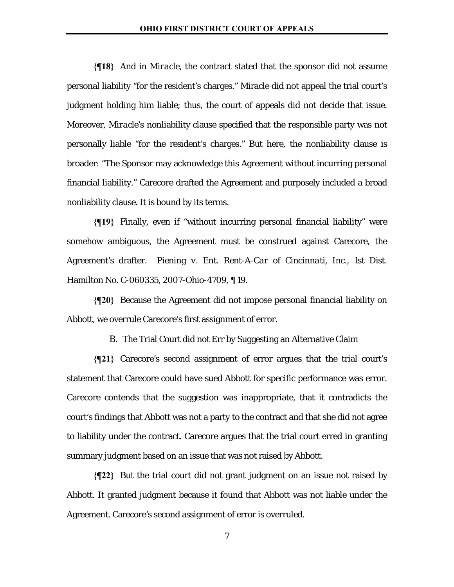**{¶18}** And in *Miracle*, the contract stated that the sponsor did not assume personal liability "for the resident's charges." Miracle did not appeal the trial court's judgment holding him liable; thus, the court of appeals did not decide that issue. Moreover, *Miracle*'s nonliability clause specified that the responsible party was not personally liable "for the resident's charges." But here, the nonliability clause is broader: "The Sponsor may acknowledge this Agreement without incurring personal financial liability." Carecore drafted the Agreement and purposely included a broad nonliability clause. It is bound by its terms.

**{¶19}** Finally, even if "without incurring personal financial liability" were somehow ambiguous, the Agreement must be construed against Carecore, the Agreement's drafter. *Piening v. Ent. Rent-A-Car of Cincinnati, Inc.,* 1st Dist. Hamilton No. C-060335, 2007-Ohio-4709, ¶ 19.

**{¶20}** Because the Agreement did not impose personal financial liability on Abbott, we overrule Carecore's first assignment of error.

B. The Trial Court did not Err by Suggesting an Alternative Claim

**{¶21}** Carecore's second assignment of error argues that the trial court's statement that Carecore could have sued Abbott for specific performance was error. Carecore contends that the suggestion was inappropriate, that it contradicts the court's findings that Abbott was not a party to the contract and that she did not agree to liability under the contract. Carecore argues that the trial court erred in granting summary judgment based on an issue that was not raised by Abbott.

**{¶22}** But the trial court did not grant judgment on an issue not raised by Abbott. It granted judgment because it found that Abbott was not liable under the Agreement. Carecore's second assignment of error is overruled.

7